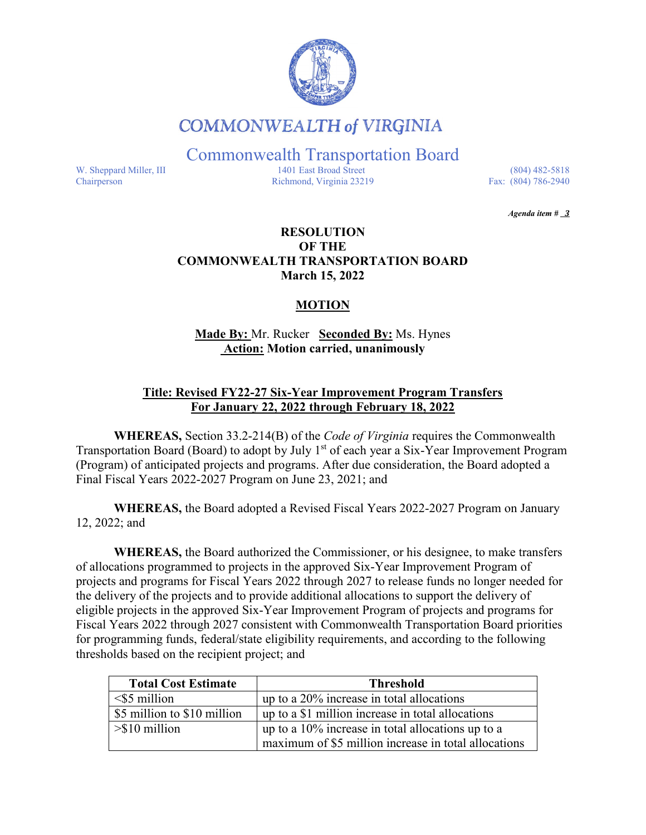

# **COMMONWEALTH of VIRGINIA**

Commonwealth Transportation Board

W. Sheppard Miller, III 1401 East Broad Street (804) 482-5818<br>Chairperson Richmond, Virginia 23219 Fax: (804) 786-2940 Richmond, Virginia 23219

*Agenda item # 3* 

#### **RESOLUTION OF THE COMMONWEALTH TRANSPORTATION BOARD March 15, 2022**

### **MOTION**

## **Made By:** Mr. Rucker **Seconded By:** Ms. Hynes **Action: Motion carried, unanimously**

## **Title: Revised FY22-27 Six-Year Improvement Program Transfers For January 22, 2022 through February 18, 2022**

**WHEREAS,** Section 33.2-214(B) of the *Code of Virginia* requires the Commonwealth Transportation Board (Board) to adopt by July 1<sup>st</sup> of each year a Six-Year Improvement Program (Program) of anticipated projects and programs. After due consideration, the Board adopted a Final Fiscal Years 2022-2027 Program on June 23, 2021; and

**WHEREAS,** the Board adopted a Revised Fiscal Years 2022-2027 Program on January 12, 2022; and

**WHEREAS,** the Board authorized the Commissioner, or his designee, to make transfers of allocations programmed to projects in the approved Six-Year Improvement Program of projects and programs for Fiscal Years 2022 through 2027 to release funds no longer needed for the delivery of the projects and to provide additional allocations to support the delivery of eligible projects in the approved Six-Year Improvement Program of projects and programs for Fiscal Years 2022 through 2027 consistent with Commonwealth Transportation Board priorities for programming funds, federal/state eligibility requirements, and according to the following thresholds based on the recipient project; and

| <b>Total Cost Estimate</b>    | <b>Threshold</b>                                     |  |  |  |  |  |
|-------------------------------|------------------------------------------------------|--|--|--|--|--|
| $\leq$ 5 million              | up to a 20% increase in total allocations            |  |  |  |  |  |
| \$5 million to \$10 million   | up to a \$1 million increase in total allocations    |  |  |  |  |  |
| $>\frac{1}{2}$ > \$10 million | up to a $10\%$ increase in total allocations up to a |  |  |  |  |  |
|                               | maximum of \$5 million increase in total allocations |  |  |  |  |  |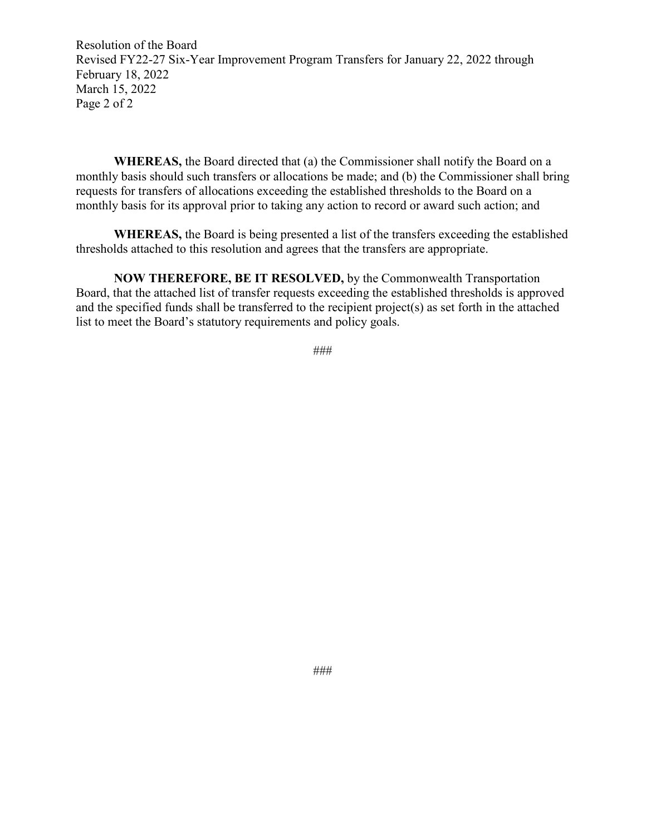Resolution of the Board Revised FY22-27 Six-Year Improvement Program Transfers for January 22, 2022 through February 18, 2022 March 15, 2022 Page 2 of 2

**WHEREAS,** the Board directed that (a) the Commissioner shall notify the Board on a monthly basis should such transfers or allocations be made; and (b) the Commissioner shall bring requests for transfers of allocations exceeding the established thresholds to the Board on a monthly basis for its approval prior to taking any action to record or award such action; and

**WHEREAS,** the Board is being presented a list of the transfers exceeding the established thresholds attached to this resolution and agrees that the transfers are appropriate.

**NOW THEREFORE, BE IT RESOLVED,** by the Commonwealth Transportation Board, that the attached list of transfer requests exceeding the established thresholds is approved and the specified funds shall be transferred to the recipient project(s) as set forth in the attached list to meet the Board's statutory requirements and policy goals.

###

###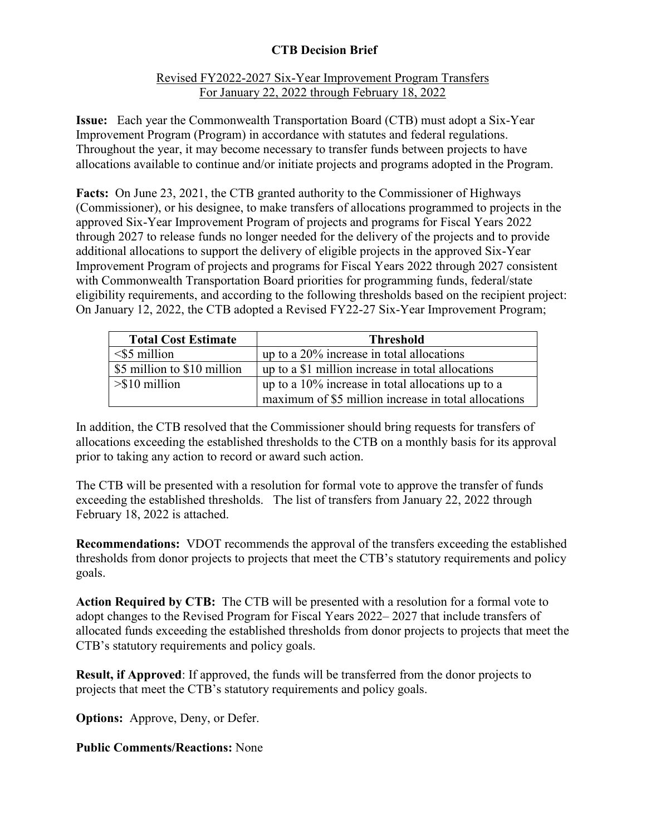# **CTB Decision Brief**

#### Revised FY2022-2027 Six-Year Improvement Program Transfers For January 22, 2022 through February 18, 2022

**Issue:** Each year the Commonwealth Transportation Board (CTB) must adopt a Six-Year Improvement Program (Program) in accordance with statutes and federal regulations. Throughout the year, it may become necessary to transfer funds between projects to have allocations available to continue and/or initiate projects and programs adopted in the Program.

**Facts:** On June 23, 2021, the CTB granted authority to the Commissioner of Highways (Commissioner), or his designee, to make transfers of allocations programmed to projects in the approved Six-Year Improvement Program of projects and programs for Fiscal Years 2022 through 2027 to release funds no longer needed for the delivery of the projects and to provide additional allocations to support the delivery of eligible projects in the approved Six-Year Improvement Program of projects and programs for Fiscal Years 2022 through 2027 consistent with Commonwealth Transportation Board priorities for programming funds, federal/state eligibility requirements, and according to the following thresholds based on the recipient project: On January 12, 2022, the CTB adopted a Revised FY22-27 Six-Year Improvement Program;

| <b>Total Cost Estimate</b>  | Threshold                                            |
|-----------------------------|------------------------------------------------------|
| $\leq$ 5 million            | up to a 20% increase in total allocations            |
| \$5 million to \$10 million | up to a \$1 million increase in total allocations    |
| $>\$ 10 million             | up to a $10\%$ increase in total allocations up to a |
|                             | maximum of \$5 million increase in total allocations |

In addition, the CTB resolved that the Commissioner should bring requests for transfers of allocations exceeding the established thresholds to the CTB on a monthly basis for its approval prior to taking any action to record or award such action.

The CTB will be presented with a resolution for formal vote to approve the transfer of funds exceeding the established thresholds. The list of transfers from January 22, 2022 through February 18, 2022 is attached.

**Recommendations:** VDOT recommends the approval of the transfers exceeding the established thresholds from donor projects to projects that meet the CTB's statutory requirements and policy goals.

**Action Required by CTB:** The CTB will be presented with a resolution for a formal vote to adopt changes to the Revised Program for Fiscal Years 2022– 2027 that include transfers of allocated funds exceeding the established thresholds from donor projects to projects that meet the CTB's statutory requirements and policy goals.

**Result, if Approved**: If approved, the funds will be transferred from the donor projects to projects that meet the CTB's statutory requirements and policy goals.

**Options:** Approve, Deny, or Defer.

**Public Comments/Reactions:** None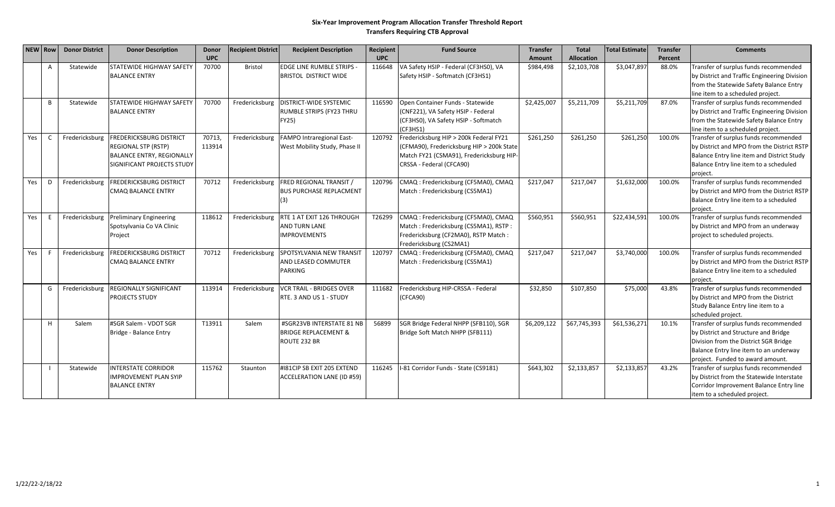#### **Six‐Year Improvement Program Allocation Transfer Threshold Report Transfers Requiring CTB Approval**

|     | NEW Row | <b>Donor District</b> | <b>Donor Description</b>                                                                                                              | <b>Donor</b>     | <b>Recipient District</b> | <b>Recipient Description</b>                                                 | Recipient  | <b>Fund Source</b>                                                                                                                                          | <b>Transfer</b> | <b>Total</b>      | <b>Total Estimate</b> | <b>Transfer</b> | <b>Comments</b>                                                                                                                                                                                      |
|-----|---------|-----------------------|---------------------------------------------------------------------------------------------------------------------------------------|------------------|---------------------------|------------------------------------------------------------------------------|------------|-------------------------------------------------------------------------------------------------------------------------------------------------------------|-----------------|-------------------|-----------------------|-----------------|------------------------------------------------------------------------------------------------------------------------------------------------------------------------------------------------------|
|     |         |                       |                                                                                                                                       | <b>UPC</b>       |                           |                                                                              | <b>UPC</b> |                                                                                                                                                             | Amount          | <b>Allocation</b> |                       | Percent         |                                                                                                                                                                                                      |
|     | A       | Statewide             | <b>STATEWIDE HIGHWAY SAFETY</b><br><b>BALANCE ENTRY</b>                                                                               | 70700            | <b>Bristol</b>            | <b>EDGE LINE RUMBLE STRIPS -</b><br><b>BRISTOL DISTRICT WIDE</b>             | 116648     | VA Safety HSIP - Federal (CF3HS0), VA<br>Safety HSIP - Softmatch (CF3HS1)                                                                                   | \$984,498       | \$2,103,708       | \$3,047,897           | 88.0%           | Transfer of surplus funds recommended<br>by District and Traffic Engineering Division<br>from the Statewide Safety Balance Entry<br>line item to a scheduled project.                                |
|     | B       | Statewide             | <b>STATEWIDE HIGHWAY SAFETY</b><br><b>BALANCE ENTRY</b>                                                                               | 70700            | Fredericksburg            | <b>DISTRICT-WIDE SYSTEMIC</b><br>RUMBLE STRIPS (FY23 THRU<br>FY25)           | 116590     | Open Container Funds - Statewide<br>(CNF221), VA Safety HSIP - Federal<br>(CF3HS0), VA Safety HSIP - Softmatch<br>(CF3HS1)                                  | \$2,425,007     | \$5,211,709       | \$5,211,709           | 87.0%           | Transfer of surplus funds recommended<br>by District and Traffic Engineering Division<br>from the Statewide Safety Balance Entry<br>line item to a scheduled project.                                |
| Yes | C       | Fredericksburg        | <b>FREDERICKSBURG DISTRICT</b><br><b>REGIONAL STP (RSTP)</b><br><b>BALANCE ENTRY, REGIONALLY</b><br><b>SIGNIFICANT PROJECTS STUDY</b> | 70713,<br>113914 | Fredericksburg            | FAMPO Intraregional East-<br>West Mobility Study, Phase II                   | 120792     | Fredericksburg HIP > 200k Federal FY21<br>(CFMA90), Fredericksburg HIP > 200k State<br>Match FY21 (CSMA91), Fredericksburg HIP-<br>CRSSA - Federal (CFCA90) | \$261,250       | \$261,250         | \$261,250             | 100.0%          | Transfer of surplus funds recommended<br>by District and MPO from the District RSTP<br>Balance Entry line item and District Study<br>Balance Entry line item to a scheduled<br>project.              |
| Yes | D       | Fredericksburg        | <b>FREDERICKSBURG DISTRICT</b><br>CMAQ BALANCE ENTRY                                                                                  | 70712            | Fredericksburg            | <b>FRED REGIONAL TRANSIT /</b><br><b>BUS PURCHASE REPLACMENT</b><br>(3)      | 120796     | CMAQ : Fredericksburg (CF5MA0), CMAQ<br>Match: Fredericksburg (CS5MA1)                                                                                      | \$217,047       | \$217,047         | \$1,632,000           | 100.0%          | Transfer of surplus funds recommended<br>by District and MPO from the District RSTP<br>Balance Entry line item to a scheduled<br>project.                                                            |
| Yes | E.      | Fredericksburg        | <b>Preliminary Engineering</b><br>Spotsylvania Co VA Clinic<br>Project                                                                | 118612           | Fredericksburg            | RTE 1 AT EXIT 126 THROUGH<br><b>AND TURN LANE</b><br><b>IMPROVEMENTS</b>     | T26299     | CMAQ: Fredericksburg (CF5MA0), CMAQ<br>Match: Fredericksburg (CS5MA1), RSTP:<br>Fredericksburg (CF2MA0), RSTP Match:<br>Fredericksburg (CS2MA1)             | \$560,951       | \$560,951         | \$22,434,591          | 100.0%          | Transfer of surplus funds recommended<br>by District and MPO from an underway<br>project to scheduled projects.                                                                                      |
| Yes |         | Fredericksburg        | <b>FREDERICKSBURG DISTRICT</b><br>CMAQ BALANCE ENTRY                                                                                  | 70712            | Fredericksburg            | <b>SPOTSYLVANIA NEW TRANSIT</b><br>AND LEASED COMMUTER<br>PARKING            | 120797     | CMAQ : Fredericksburg (CF5MA0), CMAQ<br>Match: Fredericksburg (CS5MA1)                                                                                      | \$217,047       | \$217,047         | \$3,740,000           | 100.0%          | Transfer of surplus funds recommended<br>by District and MPO from the District RSTP<br>Balance Entry line item to a scheduled<br>project.                                                            |
|     | G       | Fredericksburg        | <b>REGIONALLY SIGNIFICANT</b><br><b>PROJECTS STUDY</b>                                                                                | 113914           | Fredericksburg            | <b>VCR TRAIL - BRIDGES OVER</b><br>RTE. 3 AND US 1 - STUDY                   | 111682     | Fredericksburg HIP-CRSSA - Federal<br>(CFCA90)                                                                                                              | \$32,850        | \$107,850         | \$75,000              | 43.8%           | Transfer of surplus funds recommended<br>by District and MPO from the District<br>Study Balance Entry line item to a<br>scheduled project.                                                           |
|     | н       | Salem                 | #SGR Salem - VDOT SGR<br>Bridge - Balance Entry                                                                                       | T13911           | Salem                     | #SGR23VB INTERSTATE 81 NB<br><b>BRIDGE REPLACEMENT &amp;</b><br>ROUTE 232 BR | 56899      | SGR Bridge Federal NHPP (SFB110), SGR<br>Bridge Soft Match NHPP (SFB111)                                                                                    | \$6,209,122     | \$67,745,393      | \$61,536,271          | 10.1%           | Transfer of surplus funds recommended<br>by District and Structure and Bridge<br>Division from the District SGR Bridge<br>Balance Entry line item to an underway<br>project. Funded to award amount. |
|     |         | Statewide             | <b>INTERSTATE CORRIDOR</b><br><b>IMPROVEMENT PLAN SYIP</b><br><b>BALANCE ENTRY</b>                                                    | 115762           | Staunton                  | #181CIP SB EXIT 205 EXTEND<br><b>ACCELERATION LANE (ID #59)</b>              | 116245     | I-81 Corridor Funds - State (CS9181)                                                                                                                        | \$643,302       | \$2,133,857       | \$2,133,857           | 43.2%           | Transfer of surplus funds recommended<br>by District from the Statewide Interstate<br>Corridor Improvement Balance Entry line<br>item to a scheduled project.                                        |